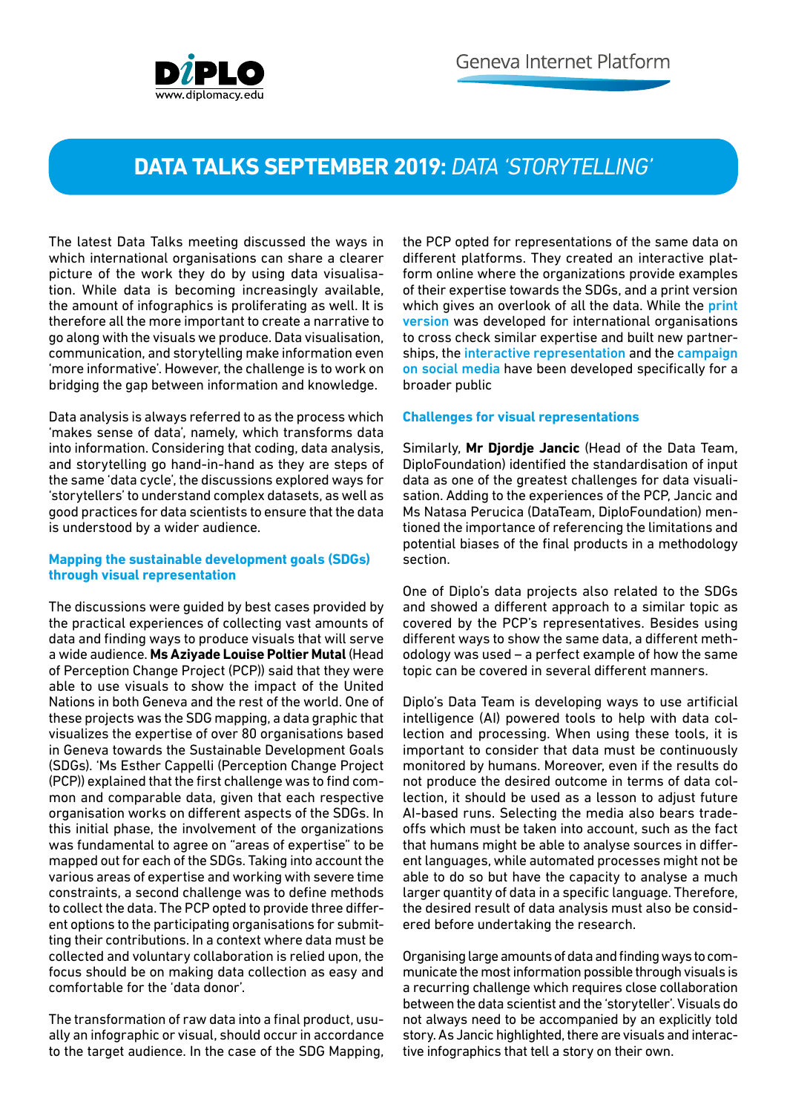

## **DATA TALKS SEPTEMBER 2019:** *DATA 'STORYTELLING'*

The latest Data Talks meeting discussed the ways in which international organisations can share a clearer picture of the work they do by using data visualisation. While data is becoming increasingly available, the amount of infographics is proliferating as well. It is therefore all the more important to create a narrative to go along with the visuals we produce. Data visualisation, communication, and storytelling make information even 'more informative'. However, the challenge is to work on bridging the gap between information and knowledge.

Data analysis is always referred to as the process which 'makes sense of data', namely, which transforms data into information. Considering that coding, data analysis, and storytelling go hand-in-hand as they are steps of the same 'data cycle', the discussions explored ways for 'storytellers' to understand complex datasets, as well as good practices for data scientists to ensure that the data is understood by a wider audience.

## **Mapping the sustainable development goals (SDGs) through visual representation**

The discussions were guided by best cases provided by the practical experiences of collecting vast amounts of data and finding ways to produce visuals that will serve a wide audience. **Ms Aziyade Louise Poltier Mutal** (Head of Perception Change Project (PCP)) said that they were able to use visuals to show the impact of the United Nations in both Geneva and the rest of the world. One of these projects was the SDG mapping, a data graphic that visualizes the expertise of over 80 organisations based in Geneva towards the Sustainable Development Goals (SDGs). 'Ms Esther Cappelli (Perception Change Project (PCP)) explained that the first challenge was to find common and comparable data, given that each respective organisation works on different aspects of the SDGs. In this initial phase, the involvement of the organizations was fundamental to agree on "areas of expertise" to be mapped out for each of the SDGs. Taking into account the various areas of expertise and working with severe time constraints, a second challenge was to define methods to collect the data. The PCP opted to provide three different options to the participating organisations for submitting their contributions. In a context where data must be collected and voluntary collaboration is relied upon, the focus should be on making data collection as easy and comfortable for the 'data donor'.

The transformation of raw data into a final product, usually an infographic or visual, should occur in accordance to the target audience. In the case of the SDG Mapping, the PCP opted for representations of the same data on different platforms. They created an interactive platform online where the organizations provide examples of their expertise towards the SDGs, and a print version which gives an overlook of all the data. While the [print](https://unog.ch/80256EE600583A0B/(httpPages)/629EDAC584B1B7FEC12583B5004CAA60?OpenDocument) [version](https://unog.ch/80256EE600583A0B/(httpPages)/629EDAC584B1B7FEC12583B5004CAA60?OpenDocument) was developed for international organisations to cross check similar expertise and built new partnerships, the [interactive representation](https://www.sdgmapping.ch/) and the [campaign](https://twitter.com/UN/status/1107719453683392513?s=20) [on social media](https://twitter.com/UN/status/1107719453683392513?s=20) have been developed specifically for a broader public

## **Challenges for visual representations**

Similarly, **Mr Djordje Jancic** (Head of the Data Team, DiploFoundation) identified the standardisation of input data as one of the greatest challenges for data visualisation. Adding to the experiences of the PCP, Jancic and Ms Natasa Perucica (DataTeam, DiploFoundation) mentioned the importance of referencing the limitations and potential biases of the final products in a methodology section.

One of Diplo's data projects also related to the SDGs and showed a different approach to a similar topic as covered by the PCP's representatives. Besides using different ways to show the same data, a different methodology was used – a perfect example of how the same topic can be covered in several different manners.

Diplo's Data Team is developing ways to use artificial intelligence (AI) powered tools to help with data collection and processing. When using these tools, it is important to consider that data must be continuously monitored by humans. Moreover, even if the results do not produce the desired outcome in terms of data collection, it should be used as a lesson to adjust future AI-based runs. Selecting the media also bears tradeoffs which must be taken into account, such as the fact that humans might be able to analyse sources in different languages, while automated processes might not be able to do so but have the capacity to analyse a much larger quantity of data in a specific language. Therefore, the desired result of data analysis must also be considered before undertaking the research.

Organising large amounts of data and finding ways to communicate the most information possible through visuals is a recurring challenge which requires close collaboration between the data scientist and the 'storyteller'. Visuals do not always need to be accompanied by an explicitly told story. As Jancic highlighted, there are visuals and interactive infographics that tell a story on their own.